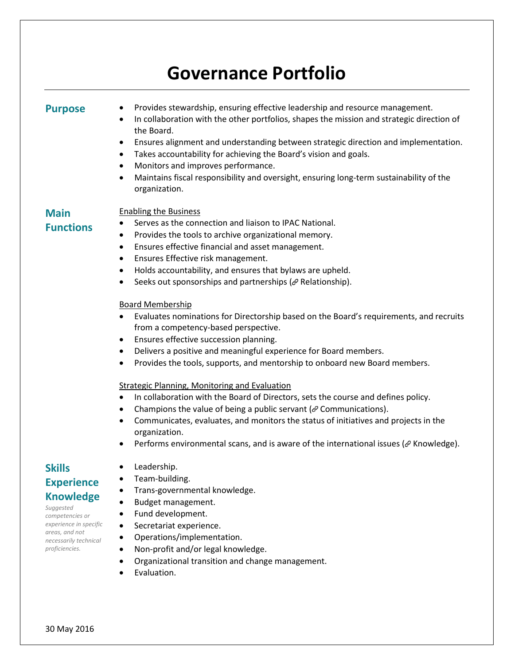# **Governance Portfolio**

**Purpose** • Provides stewardship, ensuring effective leadership and resource management.<br>• In collaboration with the other portfolios, shapes the mission and strategic direct

- In collaboration with the other portfolios, shapes the mission and strategic direction of the Board.
- Ensures alignment and understanding between strategic direction and implementation.
- Takes accountability for achieving the Board's vision and goals.
- Monitors and improves performance.
- Maintains fiscal responsibility and oversight, ensuring long-term sustainability of the organization.

#### **Main**  Enabling the Business

**Functions**

- Serves as the connection and liaison to IPAC National.
- Provides the tools to archive organizational memory.
- Ensures effective financial and asset management.
- Ensures Effective risk management.
- Holds accountability, and ensures that bylaws are upheld.
- Seeks out sponsorships and partnerships ( $\mathcal O$  Relationship).

#### Board Membership

- Evaluates nominations for Directorship based on the Board's requirements, and recruits from a competency-based perspective.
- Ensures effective succession planning.
- Delivers a positive and meaningful experience for Board members.
- Provides the tools, supports, and mentorship to onboard new Board members.

#### Strategic Planning, Monitoring and Evaluation

- In collaboration with the Board of Directors, sets the course and defines policy.
- Champions the value of being a public servant ( $\mathcal O$  Communications).
- Communicates, evaluates, and monitors the status of initiatives and projects in the organization.
- Performs environmental scans, and is aware of the international issues ( $\mathscr{P}$  Knowledge).

# **Skills Experience Knowledge**

*Suggested competencies or experience in specific areas, and not necessarily technical proficiencies.*

- Leadership.
- Team-building.
- Trans-governmental knowledge.
- Budget management.
- Fund development.
- Secretariat experience.
- Operations/implementation.
- Non-profit and/or legal knowledge.
- Organizational transition and change management.
- Evaluation.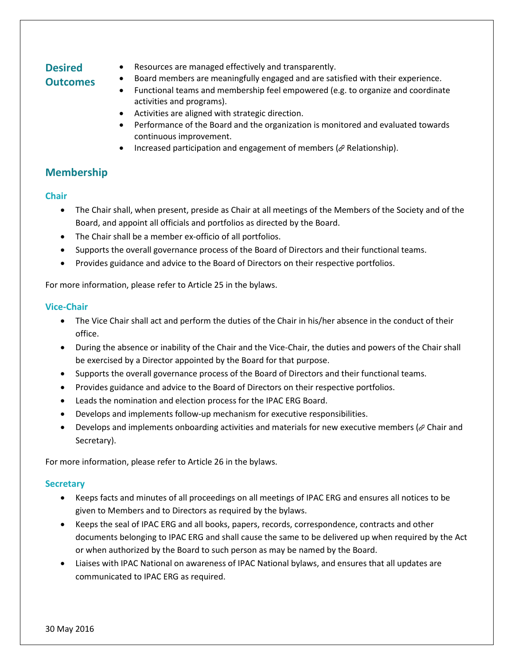## **Desired Outcomes**

- Resources are managed effectively and transparently.
- Board members are meaningfully engaged and are satisfied with their experience.
	- Functional teams and membership feel empowered (e.g. to organize and coordinate activities and programs).
	- Activities are aligned with strategic direction.
	- Performance of the Board and the organization is monitored and evaluated towards continuous improvement.
	- Increased participation and engagement of members ( $\mathcal O$  Relationship).

## **Membership**

### **Chair**

- The Chair shall, when present, preside as Chair at all meetings of the Members of the Society and of the Board, and appoint all officials and portfolios as directed by the Board.
- The Chair shall be a member ex-officio of all portfolios.
- Supports the overall governance process of the Board of Directors and their functional teams.
- Provides guidance and advice to the Board of Directors on their respective portfolios.

For more information, please refer to Article 25 in the bylaws.

#### **Vice-Chair**

- The Vice Chair shall act and perform the duties of the Chair in his/her absence in the conduct of their office.
- During the absence or inability of the Chair and the Vice-Chair, the duties and powers of the Chair shall be exercised by a Director appointed by the Board for that purpose.
- Supports the overall governance process of the Board of Directors and their functional teams.
- Provides guidance and advice to the Board of Directors on their respective portfolios.
- Leads the nomination and election process for the IPAC ERG Board.
- Develops and implements follow-up mechanism for executive responsibilities.
- Develops and implements onboarding activities and materials for new executive members ( $\mathscr O$  Chair and Secretary).

For more information, please refer to Article 26 in the bylaws.

#### **Secretary**

- Keeps facts and minutes of all proceedings on all meetings of IPAC ERG and ensures all notices to be given to Members and to Directors as required by the bylaws.
- Keeps the seal of IPAC ERG and all books, papers, records, correspondence, contracts and other documents belonging to IPAC ERG and shall cause the same to be delivered up when required by the Act or when authorized by the Board to such person as may be named by the Board.
- Liaises with IPAC National on awareness of IPAC National bylaws, and ensures that all updates are communicated to IPAC ERG as required.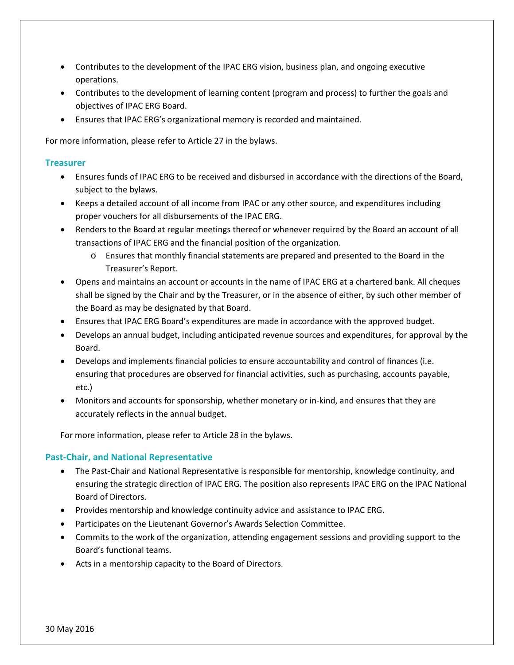- Contributes to the development of the IPAC ERG vision, business plan, and ongoing executive operations.
- Contributes to the development of learning content (program and process) to further the goals and objectives of IPAC ERG Board.
- Ensures that IPAC ERG's organizational memory is recorded and maintained.

For more information, please refer to Article 27 in the bylaws.

#### **Treasurer**

- Ensures funds of IPAC ERG to be received and disbursed in accordance with the directions of the Board, subject to the bylaws.
- Keeps a detailed account of all income from IPAC or any other source, and expenditures including proper vouchers for all disbursements of the IPAC ERG.
- Renders to the Board at regular meetings thereof or whenever required by the Board an account of all transactions of IPAC ERG and the financial position of the organization.
	- o Ensures that monthly financial statements are prepared and presented to the Board in the Treasurer's Report.
- Opens and maintains an account or accounts in the name of IPAC ERG at a chartered bank. All cheques shall be signed by the Chair and by the Treasurer, or in the absence of either, by such other member of the Board as may be designated by that Board.
- Ensures that IPAC ERG Board's expenditures are made in accordance with the approved budget.
- Develops an annual budget, including anticipated revenue sources and expenditures, for approval by the Board.
- Develops and implements financial policies to ensure accountability and control of finances (i.e. ensuring that procedures are observed for financial activities, such as purchasing, accounts payable, etc.)
- Monitors and accounts for sponsorship, whether monetary or in-kind, and ensures that they are accurately reflects in the annual budget.

For more information, please refer to Article 28 in the bylaws.

#### **Past-Chair, and National Representative**

- The Past-Chair and National Representative is responsible for mentorship, knowledge continuity, and ensuring the strategic direction of IPAC ERG. The position also represents IPAC ERG on the IPAC National Board of Directors.
- Provides mentorship and knowledge continuity advice and assistance to IPAC ERG.
- Participates on the Lieutenant Governor's Awards Selection Committee.
- Commits to the work of the organization, attending engagement sessions and providing support to the Board's functional teams.
- Acts in a mentorship capacity to the Board of Directors.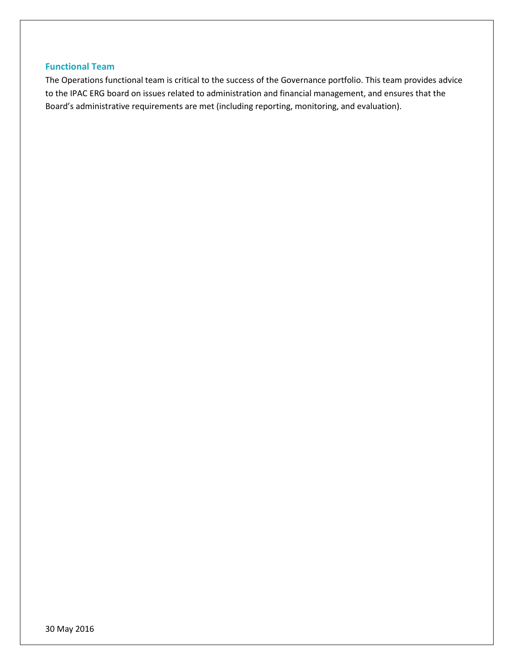### **Functional Team**

The Operations functional team is critical to the success of the Governance portfolio. This team provides advice to the IPAC ERG board on issues related to administration and financial management, and ensures that the Board's administrative requirements are met (including reporting, monitoring, and evaluation).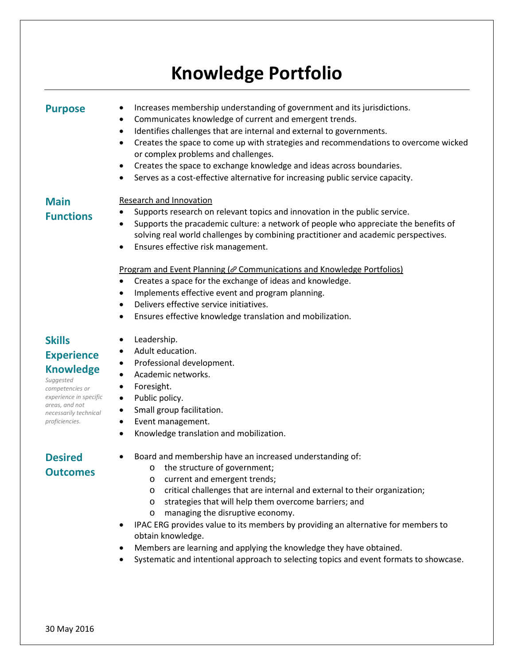# **Knowledge Portfolio**

- **Purpose** Increases membership understanding of government and its jurisdictions.<br>• Communicates knowledge of current and emergent trends.
	- Communicates knowledge of current and emergent trends.
	- Identifies challenges that are internal and external to governments.
	- Creates the space to come up with strategies and recommendations to overcome wicked or complex problems and challenges.
	- Creates the space to exchange knowledge and ideas across boundaries.
	- Serves as a cost-effective alternative for increasing public service capacity.

## **Main Functions**

#### Research and Innovation

- Supports research on relevant topics and innovation in the public service.
- Supports the pracademic culture: a network of people who appreciate the benefits of solving real world challenges by combining practitioner and academic perspectives.
- Ensures effective risk management.

#### Program and Event Planning ( $\mathcal O$  Communications and Knowledge Portfolios)

- Creates a space for the exchange of ideas and knowledge.
- Implements effective event and program planning.
- Delivers effective service initiatives.
- Ensures effective knowledge translation and mobilization.

# **Skills Experience Knowledge**

*Suggested competencies or experience in specific areas, and not necessarily technical proficiencies.*

- Leadership.
- Adult education.
- Professional development.
- Academic networks.
- Foresight.
- Public policy.
- Small group facilitation.
- Event management.
- Knowledge translation and mobilization.

# **Desired Outcomes**

- Board and membership have an increased understanding of:
	- o the structure of government;
		- o current and emergent trends;
		- o critical challenges that are internal and external to their organization;
		- o strategies that will help them overcome barriers; and
		- o managing the disruptive economy.
- IPAC ERG provides value to its members by providing an alternative for members to obtain knowledge.
- Members are learning and applying the knowledge they have obtained.
- Systematic and intentional approach to selecting topics and event formats to showcase.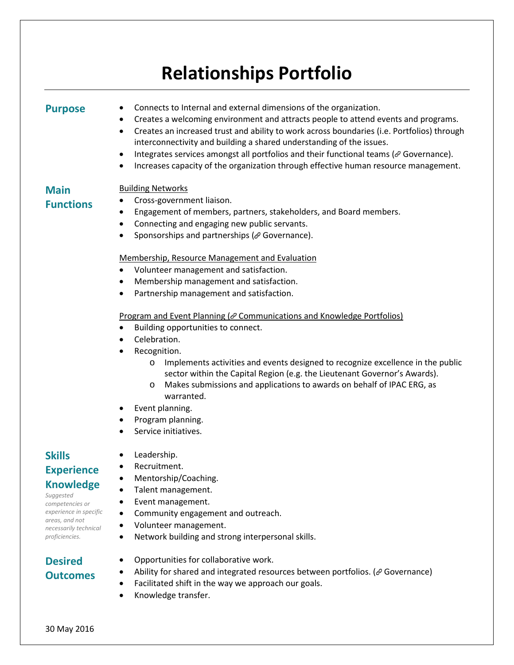# **Relationships Portfolio**

**Purpose** • Connects to Internal and external dimensions of the organization.<br>• Creates a welcoming environment and attracts neonle to attend e

- Creates a welcoming environment and attracts people to attend events and programs.
- Creates an increased trust and ability to work across boundaries (i.e. Portfolios) through interconnectivity and building a shared understanding of the issues.
- $\bullet$  Integrates services amongst all portfolios and their functional teams ( $\mathcal O$  Governance).
- Increases capacity of the organization through effective human resource management.

## Building Networks

# **Main Functions**

- Cross-government liaison.
- Engagement of members, partners, stakeholders, and Board members.
- Connecting and engaging new public servants.
- Sponsorships and partnerships ( $\mathcal O$  Governance).

#### Membership, Resource Management and Evaluation

- Volunteer management and satisfaction.
- Membership management and satisfaction.
- Partnership management and satisfaction.

#### Program and Event Planning ( $\mathcal O$  Communications and Knowledge Portfolios)

- Building opportunities to connect.
- Celebration.
- Recognition.
	- o Implements activities and events designed to recognize excellence in the public sector within the Capital Region (e.g. the Lieutenant Governor's Awards).
	- o Makes submissions and applications to awards on behalf of IPAC ERG, as warranted.
- Event planning.
- Program planning.
- Service initiatives.

# **Skills Experience**

### **Knowledge**

*Suggested competencies or experience in specific areas, and not necessarily technical proficiencies.*

• Recruitment.

• Leadership.

- Mentorship/Coaching.
- Talent management.
- Event management.
- Community engagement and outreach.
- Volunteer management.
- Network building and strong interpersonal skills.

# **Desired Outcomes**

- Opportunities for collaborative work.
- Ability for shared and integrated resources between portfolios. ( $\mathcal O$  Governance)
- Facilitated shift in the way we approach our goals.
- Knowledge transfer.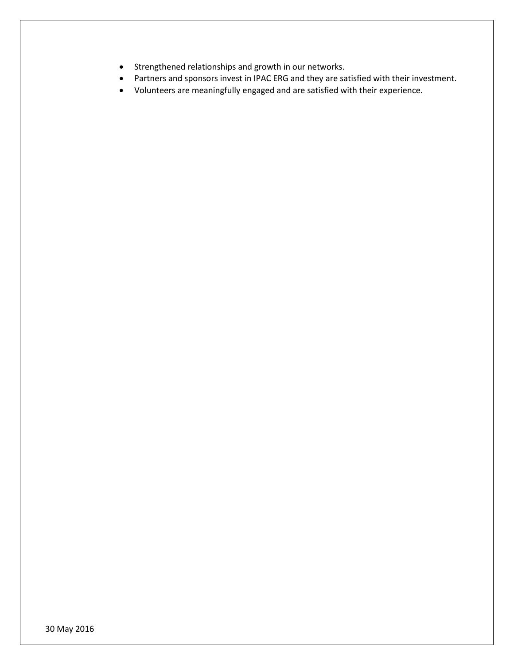- Strengthened relationships and growth in our networks.
- Partners and sponsors invest in IPAC ERG and they are satisfied with their investment.
- Volunteers are meaningfully engaged and are satisfied with their experience.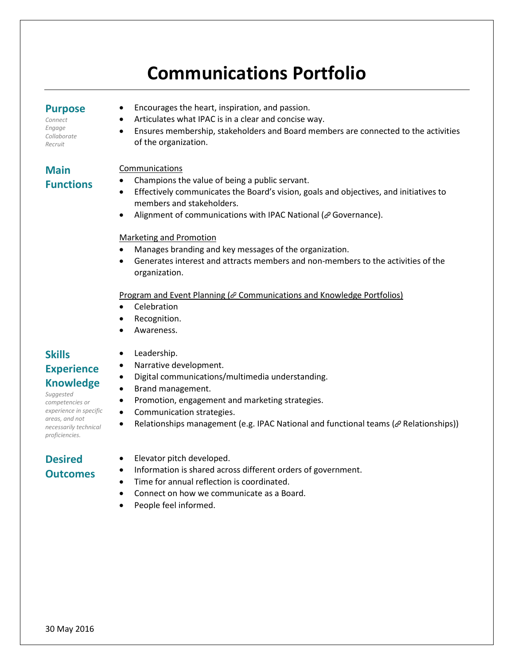# **Communications Portfolio**

### **Purpose**

*Connect Engage Collaborate Recruit*

- Encourages the heart, inspiration, and passion.
- Articulates what IPAC is in a clear and concise way.
- Ensures membership, stakeholders and Board members are connected to the activities of the organization.

#### Communications

# **Main Functions**

- Champions the value of being a public servant.
- Effectively communicates the Board's vision, goals and objectives, and initiatives to members and stakeholders.
- Alignment of communications with IPAC National ( $\mathcal O$  Governance).

#### Marketing and Promotion

- Manages branding and key messages of the organization.
- Generates interest and attracts members and non-members to the activities of the organization.

#### Program and Event Planning ( @ Communications and Knowledge Portfolios)

- Celebration
- Recognition.
- Awareness.

# **Skills Experience Knowledge**

*Suggested competencies or experience in specific areas, and not necessarily technical proficiencies.*

# **Desired Outcomes**

- Leadership.
- Narrative development.
- Digital communications/multimedia understanding.
- Brand management. • Promotion, engagement and marketing strategies.
- Communication strategies.
- Relationships management (e.g. IPAC National and functional teams ( $\mathscr P$  Relationships))
- Elevator pitch developed.
- Information is shared across different orders of government.
- Time for annual reflection is coordinated.
- Connect on how we communicate as a Board.
- People feel informed.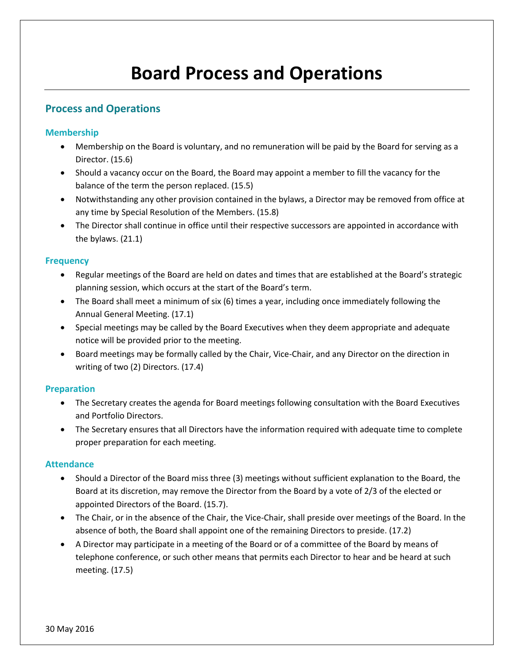# **Board Process and Operations**

## **Process and Operations**

#### **Membership**

- Membership on the Board is voluntary, and no remuneration will be paid by the Board for serving as a Director. (15.6)
- Should a vacancy occur on the Board, the Board may appoint a member to fill the vacancy for the balance of the term the person replaced. (15.5)
- Notwithstanding any other provision contained in the bylaws, a Director may be removed from office at any time by Special Resolution of the Members. (15.8)
- The Director shall continue in office until their respective successors are appointed in accordance with the bylaws. (21.1)

#### **Frequency**

- Regular meetings of the Board are held on dates and times that are established at the Board's strategic planning session, which occurs at the start of the Board's term.
- The Board shall meet a minimum of six (6) times a year, including once immediately following the Annual General Meeting. (17.1)
- Special meetings may be called by the Board Executives when they deem appropriate and adequate notice will be provided prior to the meeting.
- Board meetings may be formally called by the Chair, Vice-Chair, and any Director on the direction in writing of two (2) Directors. (17.4)

#### **Preparation**

- The Secretary creates the agenda for Board meetings following consultation with the Board Executives and Portfolio Directors.
- The Secretary ensures that all Directors have the information required with adequate time to complete proper preparation for each meeting.

#### **Attendance**

- Should a Director of the Board miss three (3) meetings without sufficient explanation to the Board, the Board at its discretion, may remove the Director from the Board by a vote of 2/3 of the elected or appointed Directors of the Board. (15.7).
- The Chair, or in the absence of the Chair, the Vice-Chair, shall preside over meetings of the Board. In the absence of both, the Board shall appoint one of the remaining Directors to preside. (17.2)
- A Director may participate in a meeting of the Board or of a committee of the Board by means of telephone conference, or such other means that permits each Director to hear and be heard at such meeting. (17.5)